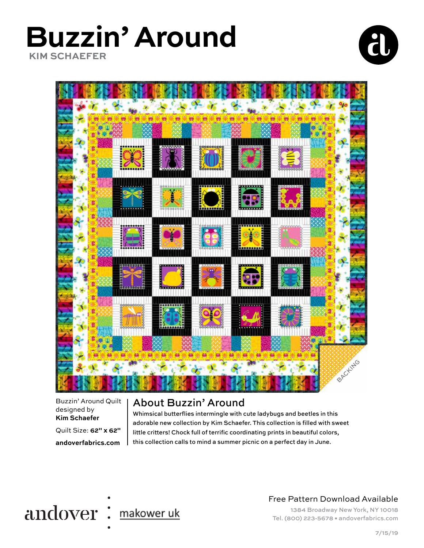### **Buzzin' Around KIM SCHAEFER**





Buzzin' Around Quilt designed by **Kim Schaefer**

Quilt Size: **62" x 62"**

**andoverfabrics.com**

#### About Buzzin' Around

Whimsical butterflies intermingle with cute ladybugs and beetles in this adorable new collection by Kim Schaefer. This collection is filled with sweet little critters! Chock full of terrific coordinating prints in beautiful colors, this collection calls to mind a summer picnic on a perfect day in June.



#### Free Pattern Download Available

1384 Broadway New York, NY 10018 Tel. (800) 223-5678 • andoverfabrics.com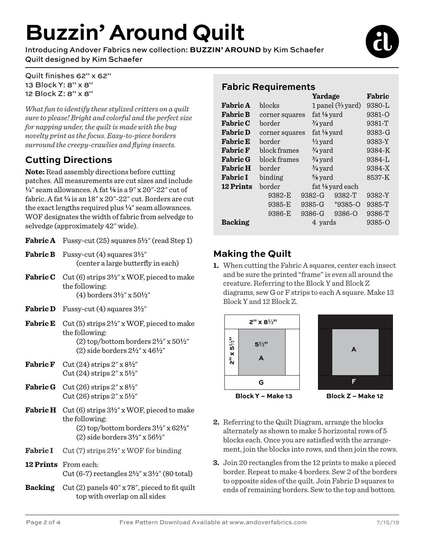## **Buzzin' Around Quilt**

Introducing Andover Fabrics new collection: **BUZZIN' AROUND** by Kim Schaefer Quilt designed by Kim Schaefer



Quilt finishes 62" x 62" 13 Block Y: 8" x 8" 12 Block Z: 8" x 8"

*What fun to identify these stylized critters on a quilt sure to please! Bright and colorful and the perfect size for napping under, the quilt is made with the bug novelty print as the focus. Easy-to-piece borders surround the creepy-crawlies and flying insects.* 

#### **Cutting Directions**

**Note:** Read assembly directions before cutting patches. All measurements are cut sizes and include **4**" seam allowances. A fat **8** is a 9" x 20"-22" cut of fabric. A fat  $\frac{1}{4}$  is an  $18''$  x  $20''$ - $22''$  cut. Borders are cut the exact lengths required plus **4**" seam allowances. WOF designates the width of fabric from selvedge to selvedge (approximately 42" wide).

- **Fabric A** Fussy-cut (25) squares  $5\frac{1}{2}$ " (read Step 1)
- **Fabric B** Fussy-cut (4) squares  $3\frac{1}{2}$ " (center a large butterfly in each)
- **Fabric C** Cut (6) strips  $3\frac{1}{2}$ " x WOF, pieced to make the following: (4) borders 3**2**" x 50**2**"
- **Fabric D** Fussy-cut (4) squares  $3\frac{1}{2}$ "
- Fabric E Cut (5) strips  $2\frac{1}{2}$ " x WOF, pieced to make the following: (2) top/bottom borders 2**2**" x 50**2**" (2) side borders 2**2**" x 46**2**"
- **Fabric F** Cut (24) strips  $2'' \times 8^{1/2}$ Cut (24) strips 2" x 5**2**"
- **Fabric G** Cut (26) strips  $2'' \times 8^{1/2}$ Cut (26) strips 2" x 5**2**"
- **Fabric H** Cut (6) strips  $3\frac{1}{2}$ " x WOF, pieced to make the following: (2) top/bottom borders 3**2**" x 62**2**" (2) side borders 3**2**" x 56**2**"
- **Fabric I** Cut (7) strips  $2\frac{1}{2}$ " x WOF for binding
- **12 Prints** From each: Cut (6-7) rectangles 2**2**" x 3**2**" (80 total)
- **Backing** Cut (2) panels 40" x 78", pieced to fit quilt top with overlap on all sides

#### **Fabric Requirements**

|                  |                | Yardage            |                              |             | Fabric |
|------------------|----------------|--------------------|------------------------------|-------------|--------|
| <b>Fabric A</b>  | blocks         |                    | 1 panel $(\frac{2}{3}$ yard) |             | 9380-L |
| <b>Fabric B</b>  | corner squares |                    | fat $\frac{1}{8}$ yard       |             | 9381-O |
| <b>Fabric C</b>  | border         |                    | $\frac{3}{4}$ yard           |             | 9381-T |
| <b>Fabric D</b>  | corner squares |                    | fat $\frac{1}{8}$ yard       |             | 9383-G |
| <b>Fabric E</b>  | border         |                    | $\frac{1}{2}$ yard           |             | 9383-Y |
| <b>Fabric F</b>  | block frames   |                    | $\frac{3}{4}$ yard           |             | 9384-K |
| <b>Fabric G</b>  | block frames   |                    | $\frac{3}{4}$ yard           |             | 9384-L |
| <b>Fabric H</b>  | border         |                    | $\frac{3}{4}$ yard           |             | 9384-X |
| <b>Fabric I</b>  | binding        | $\frac{5}{8}$ yard |                              | 8537-K      |        |
| <b>12 Prints</b> | border         | fat 1/8 yard each  |                              |             |        |
|                  | 9382-E         |                    | 9382-G                       | 9382-T      | 9382-Y |
|                  | 9385-E         |                    | 9385-G                       | $*9385 - 0$ | 9385-T |
|                  | 9386-E         |                    | 9386-G                       | 9386-Q      | 9386-T |
| <b>Backing</b>   | 4 yards        |                    |                              |             | 9385-Q |

#### **Making the Quilt**

**1.** When cutting the Fabric A squares, center each insect and be sure the printed "frame" is even all around the creature. Referring to the Block Y and Block Z diagrams, sew G or F strips to each A square. Make 13 Block Y and 12 Block Z.





**Block Z – Make 12**

- **2.** Referring to the Quilt Diagram, arrange the blocks alternately as shown to make 5 horizontal rows of 5 blocks each. Once you are satisfied with the arrangement, join the blocks into rows, and then join the rows.
- **3.** Join 20 rectangles from the 12 prints to make a pieced border. Repeat to make 4 borders. Sew 2 of the borders to opposite sides of the quilt. Join Fabric D squares to ends of remaining borders. Sew to the top and bottom.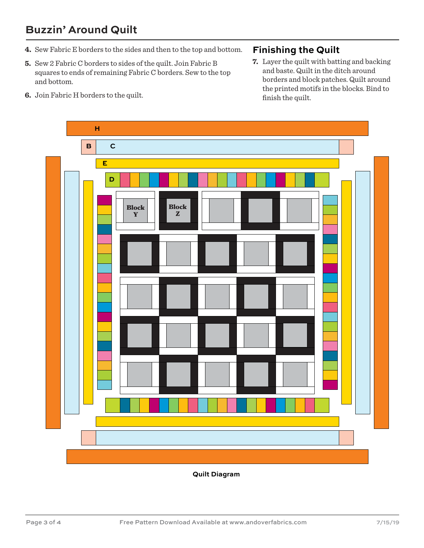#### **Buzzin' Around Quilt**

- **4.** Sew Fabric E borders to the sides and then to the top and bottom.
- **5.** Sew 2 Fabric C borders to sides of the quilt. Join Fabric B squares to ends of remaining Fabric C borders. Sew to the top and bottom.
- **6.** Join Fabric H borders to the quilt.

#### **Finishing the Quilt**

**7.** Layer the quilt with batting and backing and baste. Quilt in the ditch around borders and block patches. Quilt around the printed motifs in the blocks. Bind to finish the quilt.



**Quilt Diagram**